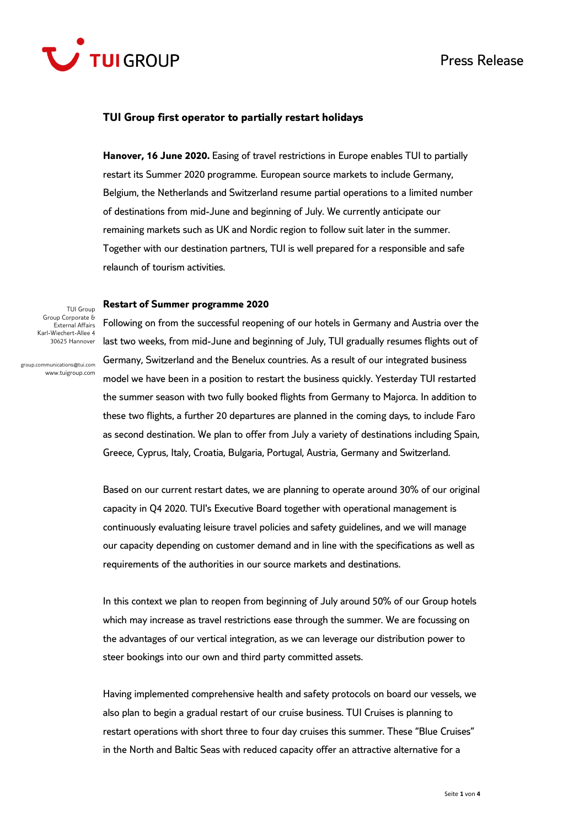



#### **TUI Group first operator to partially restart holidays**

**Hanover, 16 June 2020.** Easing of travel restrictions in Europe enables TUI to partially restart its Summer 2020 programme. European source markets to include Germany, Belgium, the Netherlands and Switzerland resume partial operations to a limited number of destinations from mid-June and beginning of July. We currently anticipate our remaining markets such as UK and Nordic region to follow suit later in the summer. Together with our destination partners, TUI is well prepared for a responsible and safe relaunch of tourism activities.

#### **Restart of Summer programme 2020**

TUI Group Group Corporate & External Affairs Karl-Wiechert-Allee 4 30625 Hannover

group.communications@tui.com www.tuigroup.com

Following on from the successful reopening of our hotels in Germany and Austria over the last two weeks, from mid-June and beginning of July, TUI gradually resumes flights out of Germany, Switzerland and the Benelux countries. As a result of our integrated business model we have been in a position to restart the business quickly. Yesterday TUI restarted the summer season with two fully booked flights from Germany to Majorca. In addition to these two flights, a further 20 departures are planned in the coming days, to include Faro as second destination. We plan to offer from July a variety of destinations including Spain, Greece, Cyprus, Italy, Croatia, Bulgaria, Portugal, Austria, Germany and Switzerland.

Based on our current restart dates, we are planning to operate around 30% of our original capacity in Q4 2020. TUI's Executive Board together with operational management is continuously evaluating leisure travel policies and safety guidelines, and we will manage our capacity depending on customer demand and in line with the specifications as well as requirements of the authorities in our source markets and destinations.

In this context we plan to reopen from beginning of July around 50% of our Group hotels which may increase as travel restrictions ease through the summer. We are focussing on the advantages of our vertical integration, as we can leverage our distribution power to steer bookings into our own and third party committed assets.

Having implemented comprehensive health and safety protocols on board our vessels, we also plan to begin a gradual restart of our cruise business. TUI Cruises is planning to restart operations with short three to four day cruises this summer. These "Blue Cruises" in the North and Baltic Seas with reduced capacity offer an attractive alternative for a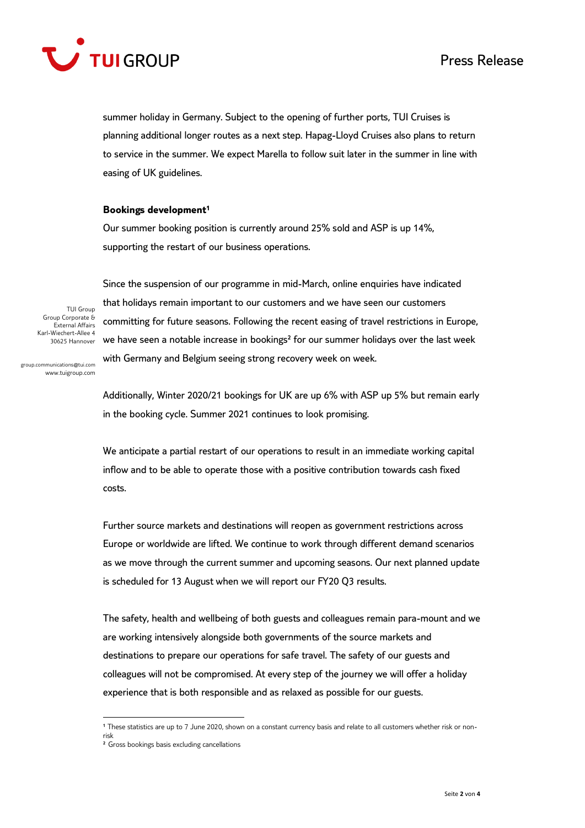

summer holiday in Germany. Subject to the opening of further ports, TUI Cruises is planning additional longer routes as a next step. Hapag-Lloyd Cruises also plans to return to service in the summer. We expect Marella to follow suit later in the summer in line with easing of UK guidelines.

### **Bookings development<sup>1</sup>**

Our summer booking position is currently around 25% sold and ASP is up 14%, supporting the restart of our business operations.

TUI Group Group Corporate & External Affairs Karl-Wiechert-Allee 4 30625 Hannover

Since the suspension of our programme in mid-March, online enquiries have indicated that holidays remain important to our customers and we have seen our customers committing for future seasons. Following the recent easing of travel restrictions in Europe, we have seen a notable increase in bookings<sup>2</sup> for our summer holidays over the last week with Germany and Belgium seeing strong recovery week on week.

group.communications@tui.com www.tuigroup.com

> Additionally, Winter 2020/21 bookings for UK are up 6% with ASP up 5% but remain early in the booking cycle. Summer 2021 continues to look promising.

We anticipate a partial restart of our operations to result in an immediate working capital inflow and to be able to operate those with a positive contribution towards cash fixed costs.

Further source markets and destinations will reopen as government restrictions across Europe or worldwide are lifted. We continue to work through different demand scenarios as we move through the current summer and upcoming seasons. Our next planned update is scheduled for 13 August when we will report our FY20 Q3 results.

The safety, health and wellbeing of both guests and colleagues remain para-mount and we are working intensively alongside both governments of the source markets and destinations to prepare our operations for safe travel. The safety of our guests and colleagues will not be compromised. At every step of the journey we will offer a holiday experience that is both responsible and as relaxed as possible for our guests.

 $\ddot{\phantom{a}}$ **<sup>1</sup>** These statistics are up to 7 June 2020, shown on a constant currency basis and relate to all customers whether risk or nonrisk

² Gross bookings basis excluding cancellations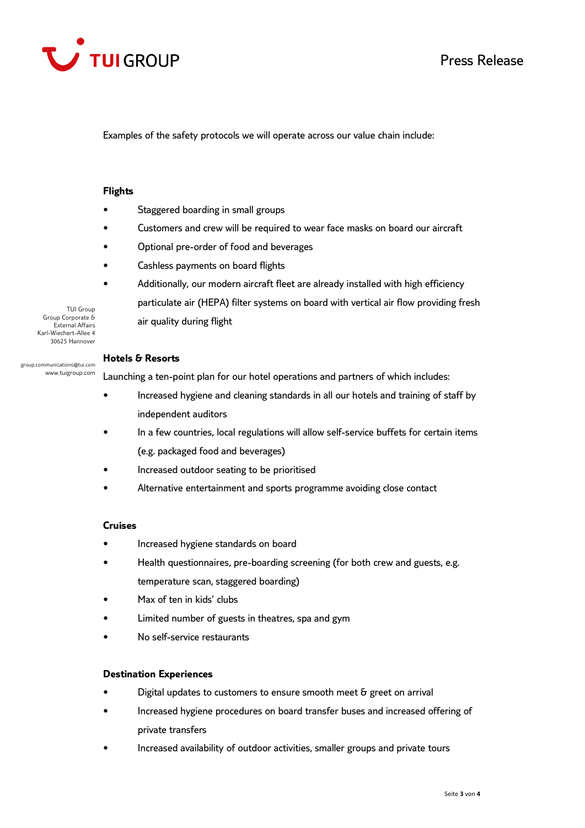

Examples of the safety protocols we will operate across our value chain include:

## **Flights**

- Staggered boarding in small groups
- Customers and crew will be required to wear face masks on board our aircraft
- Optional pre-order of food and beverages
- Cashless payments on board flights
- Additionally, our modern aircraft fleet are already installed with high efficiency particulate air (HEPA) filter systems on board with vertical air flow providing fresh air quality during flight

Group Corporate & External Affairs Karl-Wiechert-Allee 4 30625 Hannover

group.communications@tui.com www.tuigroup.com

TUI Group

### **Hotels & Resorts**

Launching a ten-point plan for our hotel operations and partners of which includes:

- Increased hygiene and cleaning standards in all our hotels and training of staff by independent auditors
- In a few countries, local regulations will allow self-service buffets for certain items (e.g. packaged food and beverages)
- Increased outdoor seating to be prioritised
- Alternative entertainment and sports programme avoiding close contact

# **Cruises**

- Increased hygiene standards on board
- Health questionnaires, pre-boarding screening (for both crew and guests, e.g. temperature scan, staggered boarding)
- Max of ten in kids' clubs
- Limited number of guests in theatres, spa and gym
- No self-service restaurants

### **Destination Experiences**

- Digital updates to customers to ensure smooth meet & greet on arrival
- Increased hygiene procedures on board transfer buses and increased offering of private transfers
- Increased availability of outdoor activities, smaller groups and private tours